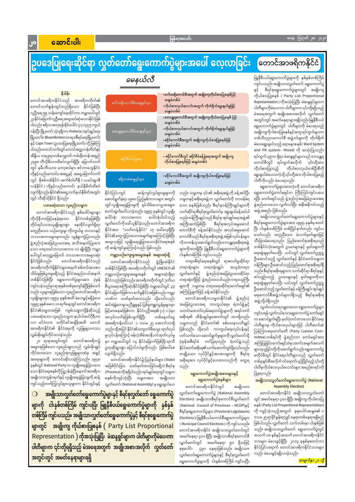#### စနေ၊ ဩဂုတ် ၂၈၊ ၂၀၂၁

# အောင်းပါး

**Jo** 

#### မြန်မာ့အလင်း

# ဥပဒေပြုရေးဆိုင်ရာ လွှတ်တော်ရွေးကောက်ပွဲများအပေါ် လေ့လာခြင်း တောင်အာဖရိကနိုင်ငံ

မေနယ်လီ

နိဒါန်း

တောင်အာဖရိကနိုင်ငံသည် အာဖရိကတိုက်၏ တောင်ဘက်စွန်းတွင်တည်ရှိသော နိုင်ငံဖြစ်ပြီး လူဦးရေ ၅၉ သန်းကျော်နေထိုင်ကာ ကမ္ဘာပေါ်တွင် ၂၃ နိုင်ငံမြောက်လူဦးရေအထူထပ်ဆုံးသောနိုင်ငံဖြစ် ပါသည်။ ဧရိယာစတုရန်းမိုင်ပေါင်း ၄၇၁၄၄၅ ကျယ် ဝန်းပြီး မြို့တော် သုံးခုရှိက၁ Pretoria (အုပ်ချုပ်ရေး မြို့တော်)၊ Bloemfontein (တရားစီရင်ရေးမြို့တော်) နှင့် Cape Town (ဥပဒေပြုရေးမြို့တော်) တို့ဖြစ်ကြ ပါသည်။တောင်ဘက်တွင်တောင်အတ္တလန်တိတ်နှင့် အိန္ဒိယ သမုဒ္ဒရာတစ်လျှောက် ကမ်းရိုးတန်းအရှည် ၂၇၉၈ ကီလိုမီတာထိစပ်လျက်ရှိပြီး မြောက်ဘက် တွင် နမီးဘီးယား၊ ဘော့စဝါနာ၊ ဇင်ဘာဘွေနိုင်ငံ တို့နှင့်လည်းကောင်း၊အရှေ့နှင့် အရှေ့မြောက်ဘက် တွင် မိုဇမ်ဘစ်နိုင်ငံ၊ အက်စ်ဝါတီနီ ( ယခင်ဆွာဇိ လန်နိုင်ငံ ) တို့နှင့်လည်းကောင်း နယ်နိမိတ်ထိစပ် လျက်ရှိသည်။ နိုင်ငံ၏အရှေ့ဘက်နယ်နိမိတ်အတွင်း တွင် လီဆိုသိုနိုင်ငံ ရှိသည်။

#### <mark>ပထမဆုံးသော လူမည်းသမ္မတ</mark>

တောင်အာဖရိကနိုင်ငံသည် နှစ်ပေါင်းများစွာ ကိုလိုနီဘဝဖြင့်နေခဲ့ရသော နိုင်ငံတစ်ခုဖြစ်ပြီး တိုင်းရင်းသားလူမျိုးများစွာ နေထိုင်လျက်ရှိရာ မတူညီသော ယဉ်ကျေးမှု၊ ကိုးကွယ်မှု ဘာသာနှင့် ဘာသာစကားများမှာလည်း လွန်စွာကွဲပြားသည်။ ဖွဲ့စည်းပုံအခြေခံဥပဒေအရ အသိအမှတ်ပြုထား သော တရားဝင်ဘာသာစကား ၁၁ မျိုးရှိပြီး ကမ္ဘာ ပေါ်တွင် စတုတ္ထမြောက် ဘာသာစကားအများဆုံး တောင်အာဖရိကနိုင်ငံသည် နိုင်ငံဖြစ်သည်။ အာဖရိကတိုက်ရှိနိုင်ငံများအနက် စစ်တပ်အာဏာ သိမ်းမှုဖြစ်ပွားမှုမရှိသည့် နိုင်ငံအနည်းငယ်အနက် တစ်နိုင်ငံဖြစ်ပြီး ရွေးကောက်ပွဲများအား ပုံမှန် ကျင်းပခဲ့သည်မှာရာစုနှစ်တစ်ခုကျော်ခဲ့ပြီဖြစ်သော် လည်း လူများစုဖြစ်သော လူမည်းတောင်အာဖရိက လူမျိုးများမှာ ၁၉၉၄ ခုနှစ်အထိ မဲပေးခွင့်မရှိခဲ့ပေ။ ၁၉၉၄ ခုနှစ် မေလ ၁၀ ရက်နေ့တွင် တောင်အာဖရိက နိုင်ငံ၏သမ္မတအဖြစ် ကျမ်းသစ္စာကျိန်ဆိုသည့် ပထမဆုံးသော လူမည်းသမ္မတ နယ်လ်ဆင်ဂိုရီဟာ လာ မင်ဒဲလား မတိုင်ခင်အချိန်အထိ တောင် အာဖရိကနိုင်ငံ၏ နိုင်ငံရေးကို လူဖြူများကသာ လွှမ်းမိုးချုပ်ကိုင်ထားခဲ့သည်။

၂၀ ရာစုအတွင်းတွင် တောင်အာဖရိက၌ မှာ ကမ္ဘာပေါ်တွင် ၁၄ နိုင်ငံမြောက်ဖြစ်ပြီး ရာသီ ပုံမှန်အစီရင်ခံ တင်ပြရသည်။ ရဲတပ်ဖွဲ့သည် အကြံပြုခြင်း၊ကော်မရှင်ထံမှသတင်းအချက်အလက် အများစုဖြစ်သော လူမည်းများသည် လွှမ်းမိုးချုပ် ဥတုဆိုးရွားစွာ ပြောင်းလဲမှုကိုလည်း ဖြစ်ပေါ်စေ နိုင်ငံတော်အစိုးရ၏ လက်အောက်တွင်ရှိသော်လည်း များ ရယူခြင်းတို့ကို ဆောင်ရွက်သည်။ ရွေးကောက်ပွဲ ကိုင်ထားသော လူနည်းစုလူဖြူများထံမှ အခွင့် တချို့သော လုပ်ပိုင်ခွင့်အာဏာများကို လျက်ရှိသည်။ စီရင်စု မတိုင်မီတွင် နိုင်ငံရေးပါတီများသည် လွှတ်တော် အရေးများကို တောင်းဆိုလာခဲ့ကြသည်။ ၁၉၄၈ တောင်အာဖရိကနိုင်ငံ၌ ပြည်နယ်များ (State) အစိုးရအား လုပ်ပိုင်ခွင့်ပေးထားသည်ကို တွေ့ရ တစ်ခုချင်းစီအလိုက် ဝင်ရောက်ယှဉ်ပြိုင်မည့် ၎င်းတို့ ခုနှစ်တွင် National Party က လူမျိုးရေးခွဲခြားထား အဖြစ်ပိုင်းခြား သတ်မှတ်ထားခြင်းမရှိဘဲ စီရင်စု သည်။ ပါတီမှကိုယ်စားလှယ်လောင်းများ အမည်စာရင်းကို သော နိုင်ငံရေးစနစ်ကိုပြဋ္ဌာန်းခဲ့ပြီးနောက်အာဖရိက (Province) ကိုးစုရှိပါသည်။ အုပ်ချုပ်ရေးတွင်သမ္မတ ပြုစုရသည်။ ရွေးကောက်ပွဲအမျိုးအစားများနှင့် အမျိုးသားကွန်ဂရက်နှင့် လူမျိုးရေးခွဲခြားမှုကို ဆန့် စနစ်ကိုကျင့်သုံးပြီး သမ္မတအား အမျိုးသား ရွေးကောက်ပွဲစနစ်များ အမျိုးသားလွှတ်တော်ရွေးကောက်ပွဲ (National ကျင်သည့်တက်ကြွလှုပ်ရှားသူများက နိုင်ငံတွင်းနှင့် လွှတ်တော် (National Assembly) မှ ရွေးချယ်ပေး တောင်အာဖရိကနိုင်ငံတွင် **Assembly Election)** အမျိုးသား အမျိုးသားလွှတ်တော်ရွေးကောက်ပွဲများနှင့် စီရင်စုလွှတ်တော် ရွေးကောက်ပွဲ လွှတ်တော်ရွေးကောက်ပွဲ (National Assembly တောင်အာဖရိကနိုင်ငံ အမျိုးသားလွှတ်တော်  $\bigcirc$ တွင် အမတ်နေရာ ၄၀၀ ရှိပြီး အချိုးကျ ကိုယ်စားပြု Election)၊ အမျိုးသားစီရင်စုကောင်စီလွှတ်တော် များကို ငါးနှစ်တစ်ကြိမ် ကျင်းပပြီး မြူနီစီပယ်ရွေးကောက်ပွဲများကို နှစ်နှစ် စနစ် (Party List Proportional Representation) (National Council of Provinces – NCOP)နှင့် စီရင်စုရွေးကောက်ပွဲများ (Provincial Legislatures ကို ကျင့်သုံးသည့်အတွက် စုစုပေါင်းဆန္ဒမဲ၏ ၀ တစ်ကြိမ် ကျင်းပသည်။ အမျိုးသားလွှတ်တော်ရွေးကောက်ပွဲနှင့် စီရင်စုရွေးကောက်ပွဲ ဒသမ ၂၅ ရာခိုင်နူန်းရလျှင် နေရာတစ်နေရာရရှိမည် Elections )၊ မြူနီစီပယ်ကောင်စီရွေးကောက်ပွဲများ ဖြစ်ပါသည်။ လွှတ်တော် သက်တမ်းမှာ ငါးနှစ်ဖြစ် များတွင် အချိုးကျ ကိုယ်စားပြုစနစ် ( Party List Proportional ( Municipal Council Elections ) ကို ကျင်းပသည်။ သည်။ အမျိုးသားလွှတ်တော် ရွေးကောက်ပွဲတွင် တောင်အာဖရိကနိုင်ငံ အမျိုးသားလွှတ်တော်တွင် Representation ) ကိုအသုံးပြုပြီး မဲဆန္ဒရှင်များက ပါတီများကိုမဲပေးကာ အသက် ၁၈ နှစ်နှင့်အထက် တောင်အာဖရိကနိုင်ငံ အမတ်နေရာ ၄၀၀ ရှိပြီး အမျိုးသားစီရင်စုကောင်စီ သားများ မဲပေးခွင့်ရှိပြီး ၂၀၁၄ ခုနှစ်မှစတင်ကာ လွှတ်တော်တွင် အမတ်နေရာ ၉၀ ရှိသဖြင့် ပါတီများက ၎င်းတို့ရရှိသည့် မဲအရေအတွက် အချိုးအစားအလိုက် လွှတ်တော် နိုင်ငံပြင်ပရောက် တောင်အာဖရိကနိုင်ငံသားများ စုစုပေါင်း ၄၉၀ နေရာဖြစ်သည်။ အမျိုးသ<mark>ား</mark> လွှတ်တော်ရွေးကောက်ပွဲများနှင့် စီရင်စုလွှတ်တော် လည်း မဲပေးခွင့်ရရှိလာခဲ့သည်။ အတွင်းတွင် အမတ်နေရာများရရှိ ရွေးကောက်ပွဲများကို ငါးနှစ်တစ်ကြိမ် ကျင်းပပြီး <mark>စာမျက်နှာ ၂၁ သို့</mark>

| မက်ထရိုကောင်စီမဲဆန္ဒရှင်များ | •မက်ထရိုကောင်စီအတွက် အချိုးကျကိုယ်စားပြုစနစ်ဖြင့်<br>ဆန္ဒမဲတစ်မဲ                                                                                                                                           |
|------------------------------|------------------------------------------------------------------------------------------------------------------------------------------------------------------------------------------------------------|
|                              | •ကိုယ်စားလှယ်လောင်းအတွက် တိုက်ရိုက်ရွေးချယ်မှုဖြင့်<br>ဆန္ဒမဲတစ်မဲ                                                                                                                                         |
| ဒေသန္တရကောင်စီမဲဆန္ဒရှင်များ | •ဒေသန္တရကောင်စီအတွက် အချိုးကျကိုယ်စားပြုစနစ် ဖြင့်<br>ဆန္ဒမဲတစ်မဲ<br>•ကိုယ်စားလှယ်လောင်းအတွက် တိုက်ရိုက်ရွေးချယ်မှုဖြင့်<br>ဆန္ဒမဲတစ်မဲ<br>•ခရိုင်ကောင်စီအတွက် အချိုးကျကိုယ်စားပြုစနစ်ဖြင့်<br>ဆန္ဒမဲတစ်မဲ |
| ခရိုင်စီမံခန့်ခွဲရေး         | • ခရိုင်ကောင်စီတွင် ခရိုင်စီမံခန့်ခွဲရေးအတွက် အချိုးကျ<br>ကိုယ်စားပြုစနစ်ဖြင့် ဆန္ဒမဲတစ်မဲ                                                                                                                 |
|                              |                                                                                                                                                                                                            |
| ဧရိယာမဲဆန္ဒရှင်များ          | •ခရိုင်ကောင်စီအတွက် အချိုးကျကိုယ်စားပြုစနစ်ဖြင့်<br>ဆန္ဒမဲတစ်မဲ                                                                                                                                            |
|                              |                                                                                                                                                                                                            |

နိုင်ငံပြင်ပတွင် ဆန့်ကျင်လှုပ်ရှားမှုများကို ဆောင်ရွက်ခဲ့ရာ ၁၉၈၀ ပြည့်နှစ်ကာလများ အတွင်း တွင် လူမျိုးရေးခွဲခြားမှုကို ရုပ်သိမ်းသောဥပဒေများ စတင်ထွက်ပေါ်လာခဲ့သည်။ ၁၉၉၄ ခုနှစ်တွင် လူမျိုး ပေါင်းစုံ၊ ဘာသာစကား ပေါင်းစုံပါဝင်သည့် လွှတ်တော်ကို ခေါ်ယူနိုင်ခဲ့သည်။ တောင်အာဖရိက နိုင်ငံအား "သက်တန့်နိုင်ငံ" ဟု ခေါ်လေ့ရှိပြီး နိုင်ငံ၏ မတူကွဲပြားသောအချက်များကြောင့် ဖြစ်ပြီး အထူးသဖြင့် လူမျိုးရေးခွဲခြားသောနိုင်ငံရေးစနစ် ကို ဆန့်ကျင်မှုကြောင့်လည်း ဖြစ်သည်။

#### ကမ္ဘာ့ယဉ်ကျေးမှုအမွေအနှစ် အများဆုံးရှိ

တောင်အာဖရိကနိုင်ငံသည် ဖွံ့ဖြိုးဆဲနိုင်ငံ တစ်နိုင်ငံဖြစ်ပြီး အာဖရိကတိုက်တွင် UNESCO ၏ အများဆုံးရှိရာ ကမ္ဘာ့ယဉ်ကျေးမှုအမွေအနှစ် နိုင်ငံလည်းဖြစ်သည်။ အာဖရိကတိုက်တွင် ဒုတိယ စီးပွားရေးအကြီးဆုံးနိုင်ငံဖြစ်ပြီး ကမ္ဘာပေါ်တွင် ၃၃ နိုင်ငံမြောက်ဖြစ်ကာ စက်မှုနိုင်ငံအဖြစ်လည်း ကမ္ဘာ့ ဘဏ်က သတ်မှတ်ထားသည်။ သို့သော်လည်း ဆင်းရဲမွဲတေမှု၊ မညီမျှမှုနှင့် ပြစ်မှုကျူးလွန်မှုများမှာ မြင့်မားနေဆဲဖြစ်ကာ နိုင်ငံလူဦးရေ၏ ၄ ပုံ ၁ ပုံမှာ အလုပ်လက်မဲ့ဖြစ်လျက်ရှိပြီး တစ်နေ့ဝင်ငွေ အမေရိကန်ဒေါ်လာ ၁ ဒသမ ၂၅ အောက်သာရှိ သည်။ ထို့အပြင် နိုင်ငံ၏ ကျောက်မီးသွေး ထုတ်လုပ် မှုလုပ်ငန်းကြောင့် ဖန်လုံအိမ်အာနိသင်ထုတ်လုပ်မှု

သည်။ သမ္မတမှ ၎င်း၏ အစိုးရအဖွဲ့ ကို ခန့်အပ်ပြီး သမ္မတနှင့်အစိုးရအဖွဲ့က လွှတ်တော်ကို တာဝန်ခံရ သော စနစ်ဖြစ်သည်။ စီရင်စုဝန်ကြီးချုပ်များကို သက်ဆိုင်ရာစီရင်စုလွှတ်တော်မှ ရွေးချယ်ခန့်အပ်ပါ သည်။ ဝန်ကြီးချုပ်သည် စီရင်စု အုပ်ချုပ်ရေးအဖွဲ့ ၏ အကြီးအကဲဖြစ်ပြီး စီရင်စုအလုပ်အမှုဆောင် ကောင်စီကို ခန့်အပ်နိုင်သည်။ အလုပ်အမှုဆောင် ကောင်စီသည် စီရင်စုအစိုးရအဖွဲ့ အဖြစ် လုပ်ငန်းများ ကို တာဝန်ယူ ဆောင်ရွက်သည်။ ဒေသန္တရအစိုးရအဖွဲ့ များကိုထားရှိပြီး မြူနီစီပယ်ရွေးကောက်ပွဲများကို ငါးနှစ်တစ်ကြိမ် ကျင်းပသည်။

တရားစီရင်ရေးစနစ်တွင် ရာဇဝတ်မှုဆိုင်ရာ တရားရုံးများ၊ တရားရုံးချုပ်၊ အယူခံတရား ဖွဲ့စည်းပုံအခြေခံဥပဒေဆိုင်ရာ လွှတ်တော်နှင့် တရားရုံးတို့ဖြင့် ဖွဲ့စည်းထားပါသည်။ တရားသူကြီး များကို သမ္မတမှ တရားရေးဆိုင်ရာကော်မရှင်၏ အကြံပြုချက်ဖြင့် ခန့်အပ်နိုင်သည်။

တောင်အာဖရိကသမ္မတနိုင်ငံ၏ ဖွဲ့စည်းပုံ အခြေခံဥပဒေအရ ကာကွယ်ရေး၊ ရဲတပ်ဖွဲ့နှင့် သတင်းထောက်လှမ်းရေးတပ်ဖွဲ့ များကို အရပ်ဘက် အစိုးရ၏ ထိန်းချုပ်မှုအောက်တွင် ထားရှိသည်။ သမ္မတသည် နိုင်ငံတော်၏ စစ်သေနာပတိချုပ် ဖြစ်သည်။ သို့သော် ကာကွယ်ရေးလုပ်ငန်းနှင့် ပတ်သက်သော ဆောင်ရွက်မှုများကို လွှတ်တော်သို့

မြူနီစီပယ်ရွေးကောက်ပွဲများကို နှစ်နှစ်တစ်ကြိမ် ကျင်းပသည်။ အမျိုးသားလွှတ်တော် ရွေးကောက်ပွဲ စီရင်စုရွေးကောက်ပွဲများတွင် အချိုးကျ နှင့် ကိုယ်စားပြုစနစ် ( Party List Proportional Representation ) ကိုအသုံးပြုပြီး မဲဆန္ဒရှင်များက ပါတီများကိုမဲပေးကာ ပါတီများက ၎င်းတို့ရရှိသည့် မဲအရေအတွက် အချိုးအစားအလိုက် လွှတ်တော် အတွင်းတွင် အမတ်နေရာများရရှိသည်။ မြူနီစီပယ် ရွေးကောက်ပွဲများတွင် ပါတီများကို မဲပေးရသည့် အချိုးကျကိုယ်စားပြုစနစ်နှင့်အတူ ရပ်ကွက်များက တစ်သီးပုဂ္ဂလကောင်စီ အဖွဲ့ ဝင်များကို တိုက်ရိုက် မဲပေးရွေးချယ်သည့် ရောနှောစနစ်( Ward System and PR system– Mixed) ကို အသုံးပြုသည်။ ရပ်ကွက် ၃၉၀၀ ရှိရာ မဲဆန္ဒရှင်များသည် ဒေသန္တရ ကောင်စီတွင် ရပ်ကွက်အလိုက် ၎င်းတို့အား ကိုယ်စားလှယ်တစ်ဦးစီကို ကိုယ်စားပြုသည့် ရွေးချယ်မဲပေးသကဲ့သို့ ၎င်းတို့အား ကိုယ်စားပြုမည့် ပါတီကိုလည်း မဲပေးရသည်။

ရွေးကောက်ပွဲများအားလုံးကို တောင်အာဖရိက ရွေးကောက်ပွဲကော်မရှင်က ကြီးကြပ်ကျင်းပပေး ရပြီး ကော်မရှင်သည် ဖွဲ့စည်းပုံအခြေခံဥပဒေအရ ဖွဲ့စည်းထားသော လွတ်လပ်ပြီး အမှီအခိုကင်းသည့် အဖွဲ့ အစည်း ဖြစ်သည်။

အမျိုးသားလွှတ်တော်ရွေးကောက်ပွဲများနှင့် စီရင်စုရွေးကောက်ပွဲများအား ၁၉၉၄ ခုနှစ်မှ စတင် ပြီး ငါးနှစ်တစ်ကြိမ် တစ်ပြိုင်နက်တည်း ကျင်းပ သော်လည်း မတူညီသော မဲလက်မှတ်များဖြင့် သီးခြားမဲပေးရသည်။ ပြည်ထောင်စုအစိုးရသည် တစ်နိုင်ငံလုံးအတွက် ဥပဒေများနှင့် မူဝါဒများကို ရေးဆွဲချမှတ်ပေးပြီး ယင်းတွင် လွှတ်တော်ဥက္ကဋ္ဌ ဦးဆောင်သည့် လွှတ်တော်နှင့် နိုင်ငံတော်သမ္မတ၊ ဝန်ကြီးများ ဦးဆောင်သည့် ပြည်ထောင်စုအစိုးရပါရှိ သည်။ စီရင်စုအစိုးရများက သက်ဆိုင်ရာ စီရင်စုနှင့် စပ်လျဉ်းသည့် ဥပဒေများနှင့် မူဝါဒများကိုသာ ရေးဆွဲချမှတ်ပေးပြီး ယင်းတွင် လွှတ်တော်ဥက္ကဋ္ဌ ဦးဆောင်သည့် လွှတ်တော်နှင့် ဝန်ကြီးချုပ်၊ အုပ်ချုပ် ရေးကောင်စီအဖွဲ့ဝင်များပါရှိသည့် စီရင်စုအစိုးရ အဖွဲ့တို့ပါရှိသည်။

လွတ်လပ်တရားမျှတသော ရွေးကောက်ပွဲများ ကျင်းပရန် လွတ်လပ်သောရွေးကောက်ပွဲ ကော်မရင် က ဆောင်ရွက်ရပြီး မှတ်ပုံတင်ထားသော နိုင်ငံရေး ပါတီများမှ ကိုယ်စားလှယ်များဖြင့် ပါတီဆက်ဆံ ပြန်ကြားရေးကော်မတီ (Party Liaison Committee) တစ်ရပ်ကို ဖွဲ့စည်းကာ ကော်မရှင်အား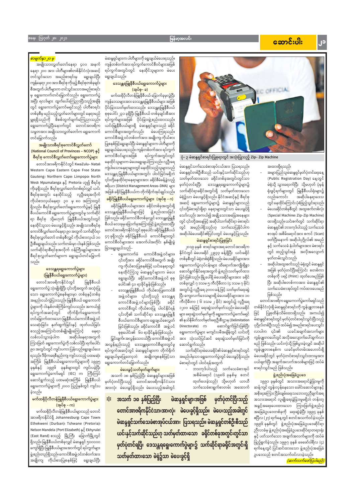#### မြန်မာ့အလင်း

#### စနေ၊ ဩဂုတ် ၂၈၊ ၂၀၂၁

# အောင်းပါး

၂၁

#### <mark>ာာမျက်နှာ ၂၀ မှ</mark>

အမျိုးသားလွှတ်တော်နေရာ ၄၀၀ အနက် နေရာ ၂၀၀ အား ပါတီများ၏တစ်နိုင်ငံလုံးအဆင့် တင်သွင်းသော အမည်စာရင်းမှ ရှေးချယ်ပြီး ကျန်နေရာ၂၀၀ အား စီရင်စု ကိုးခု၌ စီရင်စုတစ်ခုချင်း စီအတွက် ပါတီများက တင်သွင်းသောအမည်စာရင်း မှ ရွေးကောက်တင်မြှောက်သည်။ ရွေးကောက်ပွဲ အပြီး ရလဒ်များ ထွက်ပေါ်ကြေညာပြီးသည့်အချိန် တွင် ရွေးကောက်ပွဲကော်မရှင်သည် ပါတီစာရင်း တစ်ခုစီမှ မည်သည့်လွှတ်တော်များတွင် နေရာမည် မျှရရှိသည်ကို စိစစ်တွက်ချက်ကြေညာသည်။ ရွေးကောက်ပွဲပြီးနောက်တွင် တောင်အာဖရိက သမ္မတအား အမျိုးသားလွှတ်တော်က ရွေးကောက် တင်မြှောက်သည်။

#### အမျိုးသားစီရင်စုကောင်စီလွှတ်တော် (National Council of Provinces – NCOP) နှင့် စီရင်စု ကောင်စီလွှတ်တော်ရွေးကောက်ပွဲများ

တောင်အာဖရိကနိုင်ငံတွင် KwaZulu– Natalı Western Caper Eastern Caper Free Stater Gautengi Northern Capei Limpopoi North West၊ Mpumalanga နှင့် Pretoria ဟူ၍ စီရင်စု ကိုးခုရှိသည်။ စီရင်စုလွှတ်တော်တစ်ရပ်လျှင် ယင်း စီရင်စုအတွင်း နေထိုင်သည့် လူဦးရေအလိုက် ကိုယ်စားလှယ်နေရာ ၃၀ မှ ၈၀ အကြားတွင် ရှိသည်။ စီရင်စုလွှတ်တော်ရွေးကောက်ပွဲနှင့် မြူနီ စီပယ်ကောင်စီ ရွေးကောက်ပွဲများတွင်မူ သက်ဆိုင် ရာ စီရင်စု သို့မဟုတ် မြူနီစီပယ်အတွင်းတွင် နေထိုင်သူသာ မဲပေးခွင့်ရှိသည်။ အမျိုးသားစီရင်စု ကောင်စီလွှတ်တော်နေရာ ၉၀ အတွက် သက်ဆိုင်ရာ စီရင်စုလွှတ်တော် တစ်ခုစီလျှင် ကိုယ်စားလှယ် ၁၀ ဦးစီရွေးချယ်သည်။ သက်တမ်းမှာ ငါးနှစ် ဖြစ်သည်။ သက်ဆိုင်ရာစီရင်စုအလိုက် ဝန်ကြီးချုပ်များအား စီရင်စုလွှတ်တော်များက ရွေးချယ်တင်မြှောက် သည်။

#### ဒေသန္တရရွေးကောက်ပွဲများ (မြူနီစီပယ်ရွေးကောက်ပွဲများ)

တောင်အာဖရိကနိုင်ငံတွင် မြူနီစီပယ် ပေါင်း၏ ၄၀ ရာခိုင်နူန်းဖြစ်သည်။ ရွေးကောက်ပွဲ သုံးမျိုးရှိပြီး ၎င်းတို့အတွက် အသုံးပြု သက်သေခံစာအုပ်တွင် ကပ်ထားပေးမည် အတွင်း၌ လူဦးရေ ၃၀၀၀ ခန့် ဖြင့် သတ်မှတ်ရေးဆွဲ ဒေသန္တရမြူနီစီပယ် ကိုယ်စားပြုကောင်စီ သော ရွေးကောက်ပွဲစနစ်များမှာ တစ်ခုနှင့်တစ်ခု ဖြစ်သည်။ ပြီး ကျေးလက်ဒေသများရှိ မဲပေးခရိုင်များအား ၁၀ အဖွဲ့ ဝင်များ။ ၎င်းတို့သည် ဒေသန္တရ အနည်းငယ်ကွဲပြားသည်။ မြူနီစီပယ် ရွေးကောက် တောင်အာဖရိက ရွေးကောက်ပွဲကော်မရှင်သည် ကောင်စီအဖွဲ့ ဝင်များဖြစ်ပြီး ကီလိုမီတာ ( ၆ ဒသမ ၂ မိုင်) အတွင်း၌ လူဦးရေ ခရိုင် ပွဲများကို ငါးနှစ်တစ်ကြိမ်ကျင်းပသည်။ အကယ်၍ တစ်နိုင်ငံလုံးရှိ မဲဆန္ဒရှင်စာရင်းကို ကွန်ပျူတာစနစ် ၁၂၀၀ ခန့်ဖြင့် ရေးဆွဲသတ်မှတ်သည်။ မဲပေးခရိုင် ကောင်စီတွင် ကိုယ်စားပြု ပါဝင်နိုင်ရန် ရပ်ကွက်အဆင့်တွင် တိုက်ရိုက်ရွေးကောက် ပြုစုထိန်းသိမ်းထားရှိသည်။ အကယ်၍ များ ရေးဆွဲသတ်မှတ်မှုကို ရွေးကောက်ပွဲကော်မရှင် ဖြင့် ၎င်းတို့၏ သက်ဆိုင်ရာ ဒေသန္တရမြူနီ တင်မြှောက်ထားသော မြူနီစီပယ်ကောင်စီအဖွဲ့ ဝင် မဲဆန္ဒရှင်စာရင်းတွင် မှတ်ပုံတင်စာရင်းသွင်းပြီးသည့် ၏ နယ်နိမိတ်သတ်မှတ်ရေးဦးစီးဌာန (Delimitation စီပယ်ကောင်စီများက ရွေးချယ်စေလွှတ် သေဆုံးခြင်း၊ နုတ်ထွက်ခြင်းနှင့် ထုတ်ပယ်ခြင်း ပုဂ္ဂိုလ်တစ်ဦးသည် ထပ်မံ၍ အမည်စာရင်းပေးသွင်း ခြင်းဖြစ်သည်။ ခရိုင်ကောင်စီ အဖွဲ့ဝင် ဆောင်ရွက်ခြင်းဖြစ်ပြီး Directorate) က စသည့်အကြောင်းတစ်မျိုးမျိုးကြောင့် နေရာ လာပါက ၎င်း၏ ယခင်အချက်အလက်များ ရွေးကောက်ပွဲများ မကျင်းပမီအချိန်တွင် ယင်းတို့ စုစုပေါင်း၏ ၆၀ ရာခိုင်နူန်းဖြစ်သည်။ လစ်လပ်သွားခဲ့ပါက အဆိုပါနေရာအတွက် ကွန်ပျူတာပေါ်တွင် အလိုအလျောက်ပေါ်ထွက်လာ ခြွင်းချက်။ အလွန်သေးငယ်ပြီး ကောင်စီအဖွဲ့ ဝင် အား သုံးသပ်ပြင်ဆင် ရေးဆွဲသတ်မှတ်ခြင်းကို ကြားဖြတ် ရွေးကောက်ပွဲကို လစ်လပ်ပြီး ရက်ပေါင်း မည် ဖြစ်သည်။ ယင်းကဲ့သို့ ဖြစ်ပွားခဲ့လျှင် အဆိုပါ အလွန်နည်းသည့် ဒေသန္တရကောင်စီများတွင်မူ ဆောင်ရွက်သည်။ ၉၀ အတွင်းတွင် ကျင်းပကာ ပြန်လည်ရွေးချယ်ပေး ကွန်ပျူတာစနစ်က ယခင်မှတ်တမ်းအဟောင်းရှိ ရပ်ကွက်အဆင့်တွင် မဲဆန္ဒရှင်များက တိုက်ရိုက် သက်ဆိုင်ရာမဲပေးခရိုင်၏ မဲဆန္ဒရှင်စာရင်းတွင် ရသည်။ ဒီမိုကရေစီနည်းကျ ကျင်းပသည့် ပထမဆုံး မဲပေးခရိုင်တွင် မှတ်ပုံတင်စာရင်းသွင်းထားမှုအား ရွေးချယ်မှုမပြုတော့ဘဲ အချိုးကျစနစ်ဖြင့်သာ အမည်ပါမှသာ ရွေးကောက်ပွဲတွင် မဲပေးခွင့်ရှိသည်။ အကြိမ် မြူနီစီပယ်ရွေးကောက်ပွဲများကို ၁၉၉၅ ပယ်ဖျက်ပြီး အချက်အလက်အသစ်များဖြင့် ထပ်မံ ရွေးကောက်တင်မြှောက်သည်။ မဲစာရင်းတွင် ပါဝင်ရန်အတွက် ခုနှစ်နှင့် ၁၉၉၆ ခုနှစ်များတွင် ကျင်းပခဲ့ပြီး စာရင်းသွင်းမည် ဖြစ်သည်။ ဘားကုဒ်ပါသည့် သက်သေခံစာအုပ် မဲပေးခွင့်သတ်မှတ်ချက်များ ရွေးကောက်ပွဲကော်မရှင် (IEC) က ကြီးကြပ် အစိမ်းရောင် (၁၉၈၆ ခုနှစ်မှ စတင် အသက် ၁၈ နှစ်ပြည့်ပြီး မဲဆန္ဒရှင်များအဖြစ် ဖွဲ့စည်းပုံအခြေခံဥပဒေ ဆောင်ရွက်သည့် ပထမဆုံးအကြိမ် မြူနီစီပယ် ထုတ်ပေးခဲ့သည်) သို့မဟုတ် ယာယီ မှတ်ပုံတင်ပြီးသည့် တောင်အာဖရိကနိုင်ငံသား ၁၉၉၁ ခုနှစ်တွင် အသားအရောင်ခွဲခြားမှုကို ရွေးကောက်ပွဲများကို ၂၀၀၀ ပြည့်နှစ်တွင် ကျင်းပ ဆန့်ကျင် တွန်းလှန်နေသော ခေါင်းဆောင်များနှင့် အားလုံး မဲပေးခွင့်ရှိသည်။ မဲပေးသည့်အခါတွင် သက်သေခံစာရွက်စာတမ်း အထောက် ခဲ့သည်။ အစိုးရအကြား ငြိမ်းချမ်းရေးသဘောတူညီချက်အရ မဲဆန္ဒရှင်များအဖြစ် မှတ်ပုံတင်ပြီးသည့် အသက် ၁၈ နှစ်ပြည့်ပြီး <mark>မက်ထရိုပိုလီတန်မြူနီစီပယ်ရွေးကောက်ပွဲများ</mark>  $\ast$ အသားအရောင် လူမျိုးရေးခွဲခြားမှုမရှိဘဲ တန်းတူ အခွင့်အရေးပေးထားသော ကြားဖြတ်ဖွဲ့စည်းပုံ (အုပ်စု – က) တောင်အာဖရိကနိုင်ငံသားအားလုံး မဲပေးခွင့်ရှိသည်။ မဲပေးသည့်အခါတွင် မက်ထရိုပိုလီတန်မြူနီစီပယ်များသည် တောင် အခြေခံဥပဒေတစ်ခုကို ရေးဆွဲခဲ့ပြီး ၁၉၉၄ ခုနှစ် အာဖရိကနိုင်ငံရှိ Johannesburg၊ Cape Town၊ ဧပြီလ (၂၇) ရက်နေ့တွင် စတင်အသက်ဝင်ခဲ့သည်။ မဲဆန္ဒရှင်သက်သေခံစာအုပ်ငယ်အား ပြသရသည်။ မဲဆန္ဒရှင်တစ်ဦးစီသည် Ethekweni (Durban) Tshwane (Pretoria) ၁၉၉၆ ခုနှစ်တွင် ဖွဲ့စည်းပုံအခြေခံဥပဒေဆိုင်ရာ Nelson Mandela (Port Elizabeth) နှင့် Ekhyrulei ညီလာခံမှ ဖွဲ့ စည်းပုံအခြေခံဥပဒေဆိုင်ရာတရားရုံး ယင်းနှင့်သက်ဆိုင်သည်ဟု သတ်မှတ်ထားသော ခရိုင်တစ်ခုအတွင်းတွင်သာ (East Rand) စသည့် မြို့ကြီး ခြောက်မြို့တွင် နှင့် ပတ်သက်သော အချက်အလက်များကို ထပ်မံ ရှိသည်။ မြူနီစီပယ်တစ်ခုလျှင် မဲဆန္ဒရှင် ၅၀၀၀၀၀ မှတ်ပုံတင်ရပြီး ဒေသန္တရရွေးကောက်ပွဲများ၌ သက်ဆိုင်ရာခရိုင်အတွင်းရှိ ဖြည့်စွက်ခဲ့သည်။ ၁၉၉၇ ခုနှစ် ဖေဖော်ဝါရီလ (၄) ကျော်ရှိပြီး မြူနီစီပယ်များအောက်တွင် ရပ်ကွက်များ ရက်နေ့တွင် ပြင်ဆင်ထားသော ဖွဲ့စည်းပုံအခြေခံ ဖွဲ့ စည်းတည်ရှိသည်။ ကောင်စီအဖွဲ့ ဝင်တစ်ဝက်အား သတ်မှတ်ထားသော မဲရုံ၌သာ မဲပေးခွင့်ရှိ ဥပဒေသည် စတင်အသက်ဝင်လာခဲ့သည်။ အချိုးကျ ကိုယ်စားပြုစနစ်ဖြင့် <mark>(ဆက်လက်ဖော်ပြပါမည်</mark>, ရွေးချယ်ပြီး

မဲဆန္ဒရှင်များက ပါတီများကို ရွေးချယ်မဲပေးရသည်။ ကျန်တစ်ဝက်အား ရပ်ကွက်ကောင်စီဝင်များအဖြစ် ရပ်ကွက်အတွင်းတွင် နေထိုင်သူများက မဲပေး ရွေးချယ်သည်။

#### ဒေသန္တရမြူနီစီပယ်ရွေးကောက်ပွဲများ (အုပ်စု– ခ)

မက်ထရိုပိုလီတန်မြူနီစီပယ် ခြောက်ခုမှလွဲပြီး ကျန်ဒေသများအား ဒေသန္တရမြူနီစီပယ်များ အဖြစ် ပိုင်းခြားသတ်မှတ်ထားသည်။ ဒေသန္တရမြူနီစီပယ် စုစုပေါင်း ၂၃၁ ခုရှိပြီး မြူနီစီပယ် တစ်ခုချင်းစီအား ရပ်ကွက်များအဖြစ် ပိုင်းခြားဖွဲ့စည်းထားသည်။ ယင်းမြူနီစီပယ်များရှိ မဲဆန္ဒရှင်များသည် ခရိုင် ကောင်စီများအတွက်လည်း မဲပေးကြရသည်။ ကောင်စီအဖွဲ့ ဝင်တစ်ဝက်အား အချိုးကျ ကိုယ်စား ပြုစနစ်ဖြင့်ရွေးချယ်ပြီး မဲဆန္ဒရှင်များက ပါတီများကို ရွေးချယ်မဲပေးရသည်။ ကျန်တစ်ဝက်အား ရပ်ကွက် ကောင်စီဝင်များအဖြစ် ရပ်ကွက်အတွင်းတွင် နေထိုင်သူများက မဲပေးရွေးချယ်ကြသည်။ လူဦးရေ ကျဲပါးသောနေရာများတွင် နေထိုင်သည့်သူများသည် ဒေသန္တရ မြူနီစီပယ်များအတွင်း ပါဝင်ခြင်းမရှိဘဲ ၎င်းတို့နေထိုင်ရာနေရာများအား ခရိုင်စီမံခန့်ခွဲသည့် ဧရိယာ (District Management Areas–DMA) များ အဖြစ် ခရိုင်မြူနီစီပယ်က တိုက်ရိုက်အုပ်ချုပ်သည်။ ခရိုင်မြူနီစီပယ်ရွေးကောက်ပွဲများ (အုပ်စု – ဂ)

ခရိုင်မြူနီစီပယ်များအား ခရိုင်တစ်ခုအတွင်းရှိ ဒေသန္တရမြူနီစီပယ်များဖြင့် ဖွဲ့စည်းထားခြင်း ဖြစ်သည်။ ခရိုင်ကောင်စီတစ်ခုလျှင် ဒေသန္တရမြူနီ စီပယ် လေးခုမှ ခြောက်ခုအကြားဖြင့် ဖွဲ့ စည်းထားပြီး တောင်အာဖရိကနိုင်ငံတွင် စုစုပေါင်း ခရိုင်မြူနီစီပယ် ၄၇ ခုရှိသည်။ ခရိုင်မြူနီစီပယ် ကောင်စီများတွင် ကောင်စီဝင်များအား အောက်ပါအတိုင်း နှစ်မျိုးခွဲ ခြားရွေးချယ်သည်–

- ရွေးကောက်ခံ ကောင်စီအဖွဲ့ဝင်များ။ ၎င်းတို့အား ခရိုင်ကောင်စီအတွက် အချိုး ကျ ကိုယ်စားပြုစနစ်ဖြင့် ယင်းနေရာတွင် နေထိုင်ကြသူ မဲဆန္ဒရှင်များက မဲပေး ရွေးချယ်ပြီး ခရိုင်ကောင်စီအဖွဲ့ဝင် စုစု
- 



#### ပုံ– ၃ မဲဆန္ဒရှင်စာရင်းပြုစုရာတွင် အသုံးပြုသည့် Zip– Zip Machine

အထားရှိရသည်၊

- အများပြည်သူမဲဆန္ဒရှင်မှတ်ပုံတင်ရေးနေ့ (Public Registration Day) နေ့တွင် မဲရုံသို့ သွားရောက်ပြီး သို့မဟုတ် ပုံမှန် ရုံးဖွင့်ရက်များတွင် မြူနီစီပယ်ရုံးများ၌ လည်းကောင်း အဆိုပါနေရာဒေသ တွင် နေထိုင်ကြောင်း ပုံစံဖြည့်သွင်းရသည်၊ မဲပေးခရိုင်တစ်ခုစီတွင် အထူးစက်တစ်လုံး (Special Machine: Zip-Zip Machine) ထားရှိသည်။ယင်းစက်တွင် သက်ဆိုင်ရာ မဲဆန္ဒရှင်၏ ဘားကုဒ်ပါသည့် သက်သေခံ စာအုပ် အစိမ်းရောင်အား စကင် (Scan) ဖတ်ပြီးနောက် အဆိုပါပုဂ္ဂိုလ်၏ အမည် နှင့် သက်သေခံ နံပါတ်များအား မဲစာရင်း တွင် ထည့်သွင်းရန် အလိုအလျောက် မှတ်တမ်းသွင်းသည်၊
- အဆိုပါအထူးစက်သည် မဲရုံတွင် မဲဆန္ဒရှင် အဖြစ် မှတ်ပုံတင်ပြီးကြောင်း စတစ်ကာ တစ်ခုကို ပရင့် (Print ) ထုတ်ပေးမည်ဖြစ် ပြီး အဆိုပါစတစ်ကာအား မဲဆန္ဒရှင်၏

မဲဆန္ဒရှင်သက်သေခံစာအုပ်ငယ်အား ပြသရသည်။ မဲဆန္ဒရှင်တစ်ဦးစီသည် ယင်းနှင့်သက်ဆိုင်သည်ဟု သတ်မှတ်ထားသော ခရိုင်တစ်ခုအတွင်းတွင်သာ မှတ်ပုံတင်ရပြီး ဒေသန္တရရွေးကောက်ပွဲများ၌ သက်ဆိုင်ရာခရိုင်အတွင်းရှိ သတ်မှတ်ထားသော မဲရုံ၌သာ မဲပေးခွင့်ရှိသည်။ နိုင်ငံအဆင့်နှင့် စီရင်စု အဆင့် ရွေးကောက်ပွဲများ၌ မဲဆန္ဒရှင်များသည် ၎င်းတို့မဲစာရင်းရှိရာ နေရာများတွင်သာ မဲပေးခွင့်ရှိ သော်လည်း အကယ်၍ အချို့သောအခြေအနေများ တွင် ၎င်းတို့အနေဖြင့် အဆိုပါသက်ဆိုင်ရာ မဲစာရင်း တွင် အမည်ပါရှိသည်ဟု သက်သေပြနိုင်ပါက အဆိုပါမဲပေးခရိုင်၏ပြင်ပတွင် မဲပေးခွင့်ပြုသည်။

#### မဲဆန္ဒရှင်စာရင်းပြုစုခြင်း

၂၀၁၉ ခုနှစ် စာရင်းများအရ တောင်အာဖရိက နိုင်ငံတွင် မဲပေးခရိုင် ၂၂၉၃၃ ခန့်ရှိပြီး ယင်းခရိုင် တစ်ခုစီတွင် မဲရုံတစ်ရုံစီရှိသည်။ မဲပေးခရိုင်များအား ရွေးကောက်ပွဲလုပ်ငန်းများ ထိရောက်အကျိုးရှိစွာ ဆောင်ရွက်နိုင်ရေးအတွက် ဖွဲ့စည်းသတ်မှတ်ထား ခြင်းဖြစ်သည်။ မြို့ပေါ်ရှိ မဲပေးခရိုင်များအား ခရိုင် တစ်ခုလျှင် ၇ ဒသမ ၅ ကီလိုမီတာ (၄ ဒသမ ၇ မိုင်)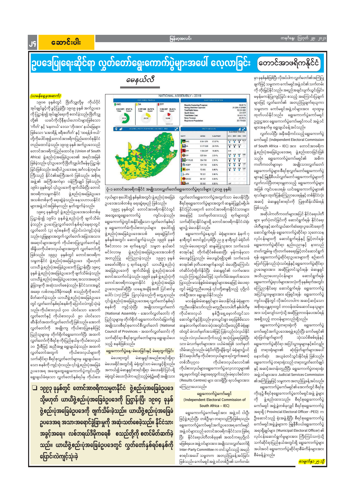တနင်္ဂနွေ၊ ဩဂုတ် ၂၉၊ ၂၀၂၁

#### မြန်မာ့အလင်း

## ဥပဒေပြုရေးဆိုင်ရာ လွှတ်တော်ရွေးကောက်ပွဲများအပေါ် လေ့လာခြင်း တောင်အာဖရိကနိုင်ငံ

မေနယ်လီ

#### (ယမန်နေ့မှအဆက်)

**J** 

၁၉၀၈ ခုနှစ်တွင် ဗြိတိသျှတို့မှ ကိုယ်ပိုင် အုပ်ချုပ်ခွင့်ကို ခွင့်ပြုခဲ့ပြီး ၁၉၀၉ ခုနှစ် အက်ဥပဒေ ကို ပြဋ္ဌာန်း၍ အုပ်ချုပ်ရေးကို စတင်ခဲ့သည်။ ဗြိတိသျှ ယခင်ကိုလိုနီနယ်ဟောင်းများဖြစ်သော တို့၏ 'ကိတ်' နှင့် 'နေတယ်' ဒေသ၊ 'ဘိုးအား' နယ်မြေများ ဖြစ်သော 'အောရိန့် ဖရီးစတိတ်' နှင့် 'ထရန့်စ် ဗယ်' တို့ကိုပေါင်းစု၍ တောင်အာဖရိကပြည်ထောင်စုနိုင်ငံ တည်ထောင်ခဲ့သည်။ ၁၉၀၉ ခုနှစ် အက်ဥပဒေသည် တောင်အာဖရိကပြည်ထောင်စု (Union of South Africa) ဖွဲ့စည်းပုံအခြေခံဥပဒေ၏ အရင်းအမြစ် ဖြစ်ခဲ့သည်။ ၎င်းဥပဒေကို ဗြိတိသျှပါလီမန်မှ ပြဋ္ဌာန်း ခြင်းဖြစ်သည်။ အဆိုပါ ဥပဒေအရ အင်္ဂလန်ဘုရင်မ ကြီးသည် နိုင်ငံ၏အကြီးအကဲ ဖြစ်သည်။ အစိုးရ အဖွဲ့၏ အကြီးအကဲမှာ ဝန်ကြီးချုပ် ဖြစ်သည်။ ၁၉၆၁ ခုနှစ်တွင် ၎င်းဥပဒေကို ဖျက်သိမ်းပြီး တောင် အာဖရိကသမ္မတနိုင်ငံ ဖွဲ့စည်းပုံအခြေခံဥပဒေ အသစ်တစ်ခုကို ရေးဆွဲခဲ့သည်။ ဓနသဟာယနိုင်ငံ များအဖွဲ့ ဝင်အဖြစ်မှလည်း နုတ်ထွက်ခဲ့သည်။

ဖြစ်သည်။ ၁၉၉၄ ခုနှစ်တွင် တောင်အာဖရိကနိုင်ငံတွင် ၁၉၈၄ ခုနှစ်တွင် ဖွဲ့စည်းပုံဥပဒေအသစ်တစ်ခု အဆိုပါကတိကဝတ်များအပြင် နိုင်ငံရေးပါတီ အနေဖြင့် သတ်မှတ်ထားသည့် ရက်များတွင် အထွေထွေရွေးကောက်ပွဲ ကျင်းပခဲ့သည်။ ပြဋ္ဌာန်း၍ ၁၉၆၁ ခုနှစ်ဖွဲ့စည်းပုံကို ဖျက်သိမ်း များ မှတ်ပုံတင်ခြင်းကို ဆောင်ရွက်ရန်၊ နိုင်ငံရေး ရွေးကောက်ပွဲတွင်အနိုင်ရရှိသော လွှတ်တော်နှစ်ရပ် သက်ဆိုင်ရာနိုင်ငံများရှိ တောင်အာဖရိကနိုင်ငံသံရုံး ခဲ့သည်။ ဥပဒေပြုလွှတ်တော်နှစ်ရပ်နေရာတွင် ပါတီများနှင့် ဆက်သွယ်ဆက်ဆံရေး၊ပူးပေါင်းရေးကို မှ ရွေးကောက်ခံကိုယ်စားလှယ်များ စုပေါင်း၍ များ၌ မဲပေးနိုင်သည်။ လွှတ်တော် (၃) ရပ်စနစ်ကို ပြောင်းလဲကျင့်သုံးခဲ့ ဆောင်ရွက်ရန်၊ ရွေးကောက်ပွဲဆိုင်ရာ သုတေသန ရေးဆွဲခြင်းကို ဖွဲ့စည်းပုံအခြေခံဥပဒေအသစ် ရွေးကောက်ပွဲနေ့တွင် မဲရုံများအား နံနက် ၇ သည်။ လူဖြူများအတွက် လွှတ်တော်၊ အခြားအသား လုပ်ငန်းများကို ဆောင်ရွက်ရန်နှင့် မြှင့်တင်ရန်၊ နာရီတွင် စတင်ဖွင့်လှစ်ပြီး ည ၉ နာရီတွင် မဲရုံပိတ် နှစ်နှစ်အတွင်း ဆောင်ရွက်ခဲ့သည်။ ၁၉၉၆ ခုနှစ် အရောင်များအတွက် ကိုယ်စားပြုလွှတ်တော်နှင့် ရွေးကောက်ပွဲဆိုင်ရာ နည်းပညာနှင့် နားလည် ဒီဇင်ဘာလ ၁၈ ရက်နေ့တွင် သမ္မတ နယ်ဆင် သည်။ မဲပေးရာတွင် ဆန္ဒမဲပြုသူအား သက်သေခံ အိန္ဒိယကိုယ်စားလှယ်များအတွက် လွှတ်တော်တို့ တတ်ကျွမ်းမှု တိုးတက်စေရေးမြှင့်တင်ဆောင်ရွက် မင်ဒဲလားမှ ဖွဲ့စည်းပုံအခြေခံဥပဒေအသစ်ကို စာအုပ်နှင့် တိုက်ဆိုင်စစ်ဆေးပြီး မှန်ကန်မှသာ ဖြစ်သည်။ ၁၉၉၃ ခုနှစ်တွင် တောင်အ<mark>ာ</mark>ဖရိက ရန်၊ ရွေးကောက်ပွဲဆိုင်ရာဥပဒေများကို စဉ်ဆက် မဲပေးခွင့်ပြုသည်။ မဲပေးခွင့်ရရှိသူ၏ သက်သေခံ ကြေညာခဲ့သည်။ ာ၉၉၇ ခုနှစ် အတည်ပြု သမ္မတနိုင်ငံ ဖွဲ့စည်းပုံအခြေခံဥပဒေ သို့မဟုတ် မပြတ်ပြန်လည်သုံးသပ်ရန်နှင့် ရွေးကောက်ပွဲဆိုင်ရာ စာအုပ်၏ ဒုတိယစာမျက်နှာတွင် မဲပေးပြီးကြောင်း ဖေဖော်ဝါရီလ ၄ ရက်နေ့တွင် ယာယီဖွဲ့စည်းပုံ ယာယီ ဖွဲ့ စည်းပုံအခြေခံဥပဒေကို ပြဋ္ဌာန်းပြီး ၁၉၈၄ အခြေခံဥပဒေကို ဖျက်သိမ်း၍ ဖွဲ့စည်းပုံအသစ် တံဆိပ်တုံးရိုက်နှိပ်ပြီး မဲဆန္ဒရှင်၏ လက်မအား ဥပဒေများအား အဆိုပြုတင်သွင်းရန်၊ မဲဆန္ဒရှင် ခုနှစ် ဖွဲ့စည်းပုံအခြေခံဥပဒေကို ဖျက်သိမ်းခဲ့သည်။ လည်း ကြာရှည်ခံမင်ဖြင့် သုတ်လိမ်းအမှတ်အသား အသိပညာပေးလုပ်ငန်းများ ဆောင်ရွက်ရန်၊ စတင်အသက်ဝင်ခဲ့သည်။ ၁၉၉၆ ခုနှစ် ဖွဲ့ စည်းပုံကို ယာယီဖွဲ့ စည်းပုံအခြေခံဥပဒေအရ အသားအရောင် ရွေးကောက်ပွဲရလဒ်များအားလုံးကို ခုနစ်ရက်အတွင်း တောင်အာဖရိကသမ္မတနိုင်ငံ ဖွဲ့စည်းပုံအခြေခံ ပြုသည်။ မသန်စွမ်းမဲဆန္ဒရှင်များအနေဖြင့် မဲပေးရာ ခွဲခြားမှုကို အဆုံးသတ်စေခဲ့သည်။ နိုင်ငံသားအခွင့် ကြေညာနိုင်ရေး ဆောင်ရွက်ရန်၊ ရွေးကောက်ပွဲ ဥပဒေဟုခေါ်ဆိုပြီး ယနေ့အချိန်အထိ ပြင်ဆင်မှု တွင် မဲရုံ၌ကူညီပေးရန် ၎င်းတို့ဆန္ဒရှိသည့် ပုဂ္ဂိုလ် အရေး၊ လစ်ဘရယ်ဒီမိုကရေစီ စသည်တို့ကို စတင် အငြင်းပွားမှုများအား ဖြေရှင်းရန်၊ ရွေးကောက်ပွဲ ပေါင်း (၁၇) ကြိမ် ပြုလုပ်ခဲ့သည်ကို တွေ့ ရသည်။ တစ်ဦးအား ရွေးချယ်နိုင်သည်။ မိတ်ဆက်ခဲ့သည်။ ယာယီဖွဲ့စည်းပုံအခြေခံဥပဒေ ကျင်းပချိန်တွင် လိုအပ်လာပါက အဆင့်ဆင့်သော မသန်စွမ်းမဲဆန္ဒရှင်များ မဲပေးနိုင်ရန် မဲရုံမှူးက ၎င်းဖွဲ့ စည်းပုံအခြေခံဥပဒေအရ လွှတ်တော်နှစ်ရပ် တွင် လွှတ်တော်နှစ်ရပ်စနစ်ကို ပြောင်းလဲကျင့်သုံးခဲ့ အစိုးရယန္တရားတွင် တာဝန်ထမ်းဆောင်နေသူများ စနစ်ကို ကျင့်သုံးပြီး အမျိုးသားလွှတ်တော် ကူညီပေးနိုင်သော်လည်း မတူညီသောပါတီ နှစ်ပါတီမှ သည်။ ကိုယ်စားလှယ် ၄၀၀ ပါဝင်သော အောက် (National Assembly – အောက်လွှတ်တော်) ကို အား သင့်လျော်သကဲ့သို့ အဆိုပြုတာဝန်ပေးအပ်ရန် ကိုယ်စားလှယ် နှစ်ဦးရှေ့မှောက်တွင်သာ လွှတ်တော်နှင့် ကိုယ်စားလှယ် ၉၀ ပါဝင်သော ပြည်သူများမှ တိုက်ရိုက် ရွေးကောက်တင်မြှောက်၍ ဆောင်ရွက်ခွင့်ရှိသည်။ မှားယွင်းစွာ ရေးခြစ်မိသော အစရှိသည့် တာဝန်များလည်းရှိသည်။ ဆီးနိတ်အထက်လွှတ်တော်တို့ဖြစ်သည်။ အောက် အမျိုးသားစီရင်စုကောင်စီလွှတ်တော် (National ဆန္ဒမဲလက်မှတ်အား မဲပုံးအတွင်းသို့မထည့်မီ မဲရုံမှူး ရွေးကောက်ပွဲတရားရုံးကို ရွေးကောက်ပွဲ လွှတ်တော်ကို အချိုးကျ ကိုယ်စားပြုစနစ်ဖြင့် ထံတွင် မဲလတ်မှတ်အသစ်ဖြင့် ပြန်လည်လဲလှယ်နိုင် ကော်မရှင်အက်ဥပဒေအရဖွဲ့စည်းပြီး ကော်မရှင်၏ Council of Provinces – အထက်လွှတ်တော်) ကို ပြည်သူများမှ တိုက်ရိုက်ရွေးကောက်ပြီး အထက် သုံးသပ်စိစစ်ရန်နှင့် သည်။ လဲလှယ်ပေးလိုက်သည့် အသုံးပြုရေးခြစ်ပြီး ဆုံးဖြတ်ချက်များကို သက်ဆိုင်ရာ စီရင်စုလွှတ်တော်များမှ ရွေးချယ်ပေး လွှတ်တော်ကို စီရင်စု ကိုးပြည်နယ်မှ ကိုယ်စားလှယ် ရွေးကောက်ပွဲဆိုင်ရာ အငြင်းပွားမှုများနှင့်စပ်လျဉ်း သည့် စနစ်ဖြစ်သည်။ သား မဲလက်မှတ်များအား ပယ်မဲအဖြစ် သတ်မှတ် ၁၀ ဦးစီဖြင့် အညီအမျှ ရွေးချယ်ခဲ့သည်။ အထက် သိမ်းဆည်းသည်။ မဲရုံပိတ်ပြီးချိန်တွင် မဲရုံများ၌ပင် ဆုံးဖြတ်ချက်များအပေါ် ၍ တရားရုံးများ၏ ရွေးကောက်ပွဲနေ့၊ မဲပေးခြင်းနှင့် မဲရေတွက်ခြင်း လွှတ်တော်အတွက် ကိုယ်စားလှယ်များကို နိုင်ငံရေးပါတီမှ ကိုယ်စားလှယ်များ၊ ရပ်ကွက်အဆင့် နောက်ဆုံး အယူခံတင်သွင်းနိုင်ရန် ဖြစ်သည်။ မဲပေးရာတွင် မဲဆန္ဒရှင်အမည်စာရင်းရှိရာ သက်ဆိုင်ရာ စီရင်စုလွှတ်တော်များမှ ရွေးချယ်ပေး တစ်သီးပုဂ္ဂလ ကိုယ်စားလှယ်လောင်း၏ ရွေးကောက်ပွဲ တရားရုံးသည် တရားလွှတ်တော်ချုပ် မဲပေးခရိုင်အတွင်းရှိ မဲရုံတွင်သာ မဲပေးခွင့်ရှိသည်။ သော စနစ်ကို ကျင့်သုံးသည်။ ၎င်းဖွဲ့ စည်းပုံအခြေခံ ကိုယ်စားလှယ်များ၊ရွေးကောက်ပွဲလေ့လာသူများ၏ နှင့် အဆင့်အတန်းတူညီပြီး ရွေးကောက်ပွဲတရားရုံး အကယ်၍ မဲဆန္ဒရှင်စာရင်းရှိရာ မဲပေးခရိုင်ပြင်ပရို ဥပဒေအရ အထွေထွေရွေးကောက်ပွဲကျင်းပပြီး ရှေ့မှောက်တွင် မဲများရေတွက်သည်။ မဲရလဒ်စင်တာ အဖွဲ့ ဝင်များအား Judicial Services Commission မဲရုံတွင် မဲပေးလိုပါက မည်သည့်မဲရုံ၌မဆို အမျိုးသား ရွေးချယ်ခံရသော လွှတ်တော်နှစ်ရပ်မှ ကိုယ်စား (Results Centres) များ ထားရှိပြီး ရလဒ်များအား ၏အကြံပြုမှုဖြင့် သမ္မတက အတည်ပြုခန့်အပ်သည်။ □ ၁၉၉၃ ခုနှစ်တွင် တောင်အာဖရိကသမ္မတနိုင်ငံ ဖွဲ့စည်းပုံအခြေခံဥပဒေ ကြေညာပေးသည်။ ရွေးကောက်ပွဲကော်မရှင်၏ အောက်တွင် စီရင်စု ရွေးကောက်ပွဲကော်မရှင် ကိုးခု၌ စီရင်စုရွေးကောက်ပွဲကော်မရှင်အဖွဲ့ ခွဲများ သို့မဟုတ် ယာယီဖွဲ့စည်းပုံအခြေခံဥပဒေကို ပြဋ္ဌာန်းပြီး ၁၉ရ၄ ခုနှစ် ဖွဲ့စည်းထားသည်။ စီရင်စုရွေးကောက်ပွဲ (Independent Electoral Commission of ကို ကော်မရှင် အဖွဲ့ ခွဲတစ်ခုလျှင် စီရင်စုရွေးကောက်ပွဲ South Africa - IEC) ဖွဲ့စည်းပုံအခြေခံဥပဒေကို ဗျက်သိမ်းခဲ့သည်။ ယာယီဖွဲ့စည်းပုံအခြေခံ အရာရှိ ( Provincial Electoral Officer –PEO) က ရွေးကောက်ပွဲကော်မရှင်အား အဖွဲ့ဝင် ငါးဦး ဦးဆောင်သည့် ရုံးအဖွဲ့ရှိပြီး စီရင်စုရွေးကောက်ပွဲ ဖြင့်ဖွဲ့ စည်းပြီး တစ်ဦးမှာ တရားသူကြီးဖြစ်ရသည်။ ဥပဒေအရ အသားအရောင်ခွဲခြားမှုကို အဆုံးသတ်စေခဲ့သည်။ နိုင်ငံသား ကော်မရှင်အဖွဲ့ခွဲများက မြူနီစီပယ်ရွေးကောက်ပွဲ ရွေးကောက်ပွဲကော်မရှင်အက်ဥပဒေအရ ကော်မရှင် အရာရှိချုပ်များ (Municipal Electoral Officer) ၏ အခွင့်အရေး၊ လစ်ဘရယ်ဒီမိုကရေစီ စသည်တို့ကို စတင်မိတ်ဆက်ခဲ့ အဖွဲ့ ဝင်များသည် တောင်အာဖရိကနိုင်ငံသား ဖြစ်ရ လုပ်ငန်းဆောင်ရွက်မှုများအား ကြီးကြပ်သကဲ့သို့ ပြီး နိုင်ငံရေးပါတီတစ်ခုခု၏ အထင်ကရပုဂ္ဂိုလ် သက်ဆိုင်ရာပြည်နယ်အတွင်းရှိ ရွေးကောက်ပွဲများ သည်။ ယာယီဖွဲ့စည်းပုံအခြေခံဥပဒေတွင် လွှတ်တော်နှစ်ရပ်စနစ်ကို မဖြစ်ရပေ။ အဖွဲ့ ဝင်များအား အမျိုးသားလွှတ်တော်ရှိ အပါအဝင် ရွေးကောက်ပွဲဆိုင်ရာစီမံကိန်းများအား Inter–Party Committee က တင်သွင်းသည့် အမည် ပြောင်းလဲကျင့်သုံးခဲ့ စီမံခန့်ခွဲသည်။ စာရင်းအပေါ် သမ္မတက အတည်ပြုခန့်အပ်ခြင်း <mark>စာမျက်နှာ ၂၅ သို့</mark> ဖြစ်သည်။ ကော်မရှင်အဖွဲ့ ဝင်တစ်ဦး၏ သက်တမ်း

|                                                                | TOP THREE PARTIES                                             |                                                                                |                                                                                                                                                                                                             |                      | <b>ELECTION STATISTICS</b> |                                                                                          |                                                 |             |      |
|----------------------------------------------------------------|---------------------------------------------------------------|--------------------------------------------------------------------------------|-------------------------------------------------------------------------------------------------------------------------------------------------------------------------------------------------------------|----------------------|----------------------------|------------------------------------------------------------------------------------------|-------------------------------------------------|-------------|------|
| <b>ANC</b><br>8 841 871<br>57.67%<br>Votes<br>Support<br>57.67 | DA<br>3 177 928<br>20.73%<br><b>Votes</b><br>Support<br>20.73 | EFF<br>1 604 217<br>10.46%<br><b>Support</b><br>Votes<br>10.46<br>HIGHLAND EDM | <b>Results Capturing Progress</b><br><b>Voting Districts Captured</b><br><b>Total Valid Votes</b><br><b>Spoilt Votes</b><br><b>Total Votes Cast</b><br><b>Voter Turnout</b><br><b>Registered Population</b> |                      |                            | 92.81%<br>21 276 of 22 925<br>15 331 202<br>211917<br>15 543 119<br>65.59%<br>26 779 025 |                                                 |             |      |
| Ø                                                              | LEADING PARTY PER VOTING DISTRICT - MAP                       | ₽                                                                              |                                                                                                                                                                                                             | <b>PARTY RESULTS</b> |                            |                                                                                          |                                                 |             |      |
|                                                                |                                                               |                                                                                | PARTY                                                                                                                                                                                                       | VOTES                | % SUPPORT                  |                                                                                          | <b>ELECTION YEAR (%)</b><br>2014 2009 2004 1999 |             |      |
|                                                                |                                                               |                                                                                | <b>ANC</b>                                                                                                                                                                                                  | 8841871              | 57.67%                     | 62.15                                                                                    | 65.93                                           | 69.69 66.35 |      |
|                                                                |                                                               |                                                                                | <b>DA</b>                                                                                                                                                                                                   | 3 177 928            | 20.73%                     | 22 23                                                                                    | 16.66                                           | 1237<br>٠   |      |
|                                                                |                                                               |                                                                                | <b>Res</b> EFF                                                                                                                                                                                              | 1604 217             | 10.46 %                    | 6.35                                                                                     |                                                 |             |      |
|                                                                |                                                               |                                                                                | <b>OF IFP</b>                                                                                                                                                                                               | 537 694              | 3.51%                      | 2.40                                                                                     | 455                                             | 6.97        | 8.55 |
|                                                                |                                                               |                                                                                | <b>VE PLUS</b>                                                                                                                                                                                              | 354 780              | 2.31%                      | 0.93                                                                                     | 0.83                                            | 0.89<br>٠   |      |
|                                                                |                                                               |                                                                                | ACDP                                                                                                                                                                                                        | 131 730              | 0.86%                      | 0.57                                                                                     | 0.81                                            | 1.60        | 1.43 |
|                                                                |                                                               |                                                                                | <b>ODM</b>                                                                                                                                                                                                  | 73 005               | 0.48%                      | $^{100}$                                                                                 |                                                 | 2.28        | 3.42 |
|                                                                |                                                               |                                                                                | J <sub>R</sub> _ATM                                                                                                                                                                                         | 70 321               | 0.46%                      |                                                                                          |                                                 |             |      |
|                                                                |                                                               |                                                                                | <b>600D</b>                                                                                                                                                                                                 | 66 167               | 0.43%                      |                                                                                          |                                                 |             |      |
|                                                                |                                                               |                                                                                | NFP                                                                                                                                                                                                         | 53 302               | 0.35%                      | 1.57                                                                                     |                                                 |             |      |

လွှတ်တော်ရွေးကောက်ပွဲအတွက်သာ မဲပေးနိုင်ပြီး စီရင်စုရွေးကောက်ပွဲများအတွက် ဆန္ဒမဲပြုခွင့်မရှိပါ။ နိုင်ငံပြင်ပရောက် တောင်အာဖရိကနိုင်ငံသားများ

ဥက္ကဋ္ဌအား ရွေးကောက်ပွဲကော်မရှင်ကပင် အဖွဲ့ ဝင် များအနက်မှ ရွေးချယ်ခန့်အပ်သည်။ လွတ်လပ်ပြီး အမှီအခိုကင်းသည့် ရွေးကောက်ပွဲ ကော်မရှင် (Independent Electoral Commission of South Africa – IEC) အား တောင်အာဖရိက ဖွဲ့ စည်းပုံအခြေခံဥပဒေအရ ဖွဲ့ စည်းထားခြင်းဖြစ် သည်။ ရွေးကောက်ပွဲကော်မရှင်၏ အဓိက ကတိကဝတ်များမှာ အမျိုးသားလွှတ်တော် ရွေးကောက်ပွဲများ၊ စီရင်စုလွှတ်တော်ရွေးကောက်ပွဲ များနှင့် မြူနီစီပယ်လွှတ်တော် ရွေးကောက်ပွဲများကို လွတ်လပ်ပြီးတရားမျှတသည့် ရွေးကောက်ပွဲများ အဖြစ် ကျင်းပပေးရန်၊ ယင်းရွေးကောက်ပွဲများ၏ ရလဒ်များ ထုတ်ပြန်ကြေညာပေးရန်နှင့် တစ်နိုင်ငံလုံး အဆင့် မဲဆန္ဒရှင်စာရင်းကို ပြုစုထိန်းသိမ်းရန်

မှာ ခုနစ်နှစ်ဖြစ်ပြီး လိုအပ်ပါက လွှတ်တော်၏အကြံပြု ချက်ဖြင့် သမ္မတက ကော်မရှင်အဖွဲ့ ဝင်၏ သက်တမ်း ကို တိုးမြှင့်နိုင်သည်။ အရည်အချင်းပျက်ယွင်းခြင်း၊ မမှန်မကန်ပြုကျင့်ခြင်း စသည့် အကြောင်းပြချက်

များဖြင့် လွှတ်တော်၏ အတည်ပြုချက်ရယူကာ

သမ္မတက ကော်မရှင်အဖွဲ့ ဝင်များအား ရာထူးမှ

ထုတ်ပယ်နိုင်သည်။ ရွေးကောက်ပွဲကော်မရှင်

#### လှယ်များ စုပေါင်း၍ နှစ်နှစ်အတွင်း ဖွဲ့ စည်းပုံအခြေခံ ဥပဒေအသစ်တစ်ခု ရေးဆွဲရမည် ဖြစ်သည်။